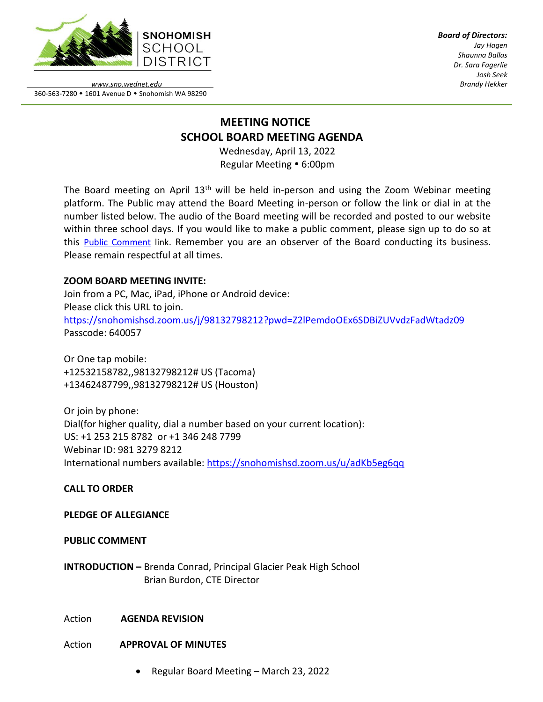

*Board of Directors: Jay Hagen Shaunna Ballas Dr. Sara Fagerlie Josh Seek Brandy Hekker*

*www.sno.wednet.edu* 360-563-7280 • 1601 Avenue D • Snohomish WA 98290

# **MEETING NOTICE SCHOOL BOARD MEETING AGENDA**

Wednesday, April 13, 2022 Regular Meeting • 6:00pm

The Board meeting on April 13<sup>th</sup> will be held in-person and using the Zoom Webinar meeting platform. The Public may attend the Board Meeting in-person or follow the link or dial in at the number listed below. The audio of the Board meeting will be recorded and posted to our website within three school days. If you would like to make a public comment, please sign up to do so at this Public [Comment](https://www.sno.wednet.edu/site/Default.aspx?PageID=5004) link. Remember you are an observer of the Board conducting its business. Please remain respectful at all times.

## **ZOOM BOARD MEETING INVITE:**

Join from a PC, Mac, iPad, iPhone or Android device: Please click this URL to join. <https://snohomishsd.zoom.us/j/98132798212?pwd=Z2lPemdoOEx6SDBiZUVvdzFadWtadz09> Passcode: 640057

Or One tap mobile: +12532158782,,98132798212# US (Tacoma) +13462487799,,98132798212# US (Houston)

Or join by phone: Dial(for higher quality, dial a number based on your current location): US: +1 253 215 8782 or +1 346 248 7799 Webinar ID: 981 3279 8212 International numbers available:<https://snohomishsd.zoom.us/u/adKb5eg6qq>

## **CALL TO ORDER**

## **PLEDGE OF ALLEGIANCE**

## **PUBLIC COMMENT**

**INTRODUCTION –** Brenda Conrad, Principal Glacier Peak High School Brian Burdon, CTE Director

## Action **AGENDA REVISION**

## Action **APPROVAL OF MINUTES**

• Regular Board Meeting – March 23, 2022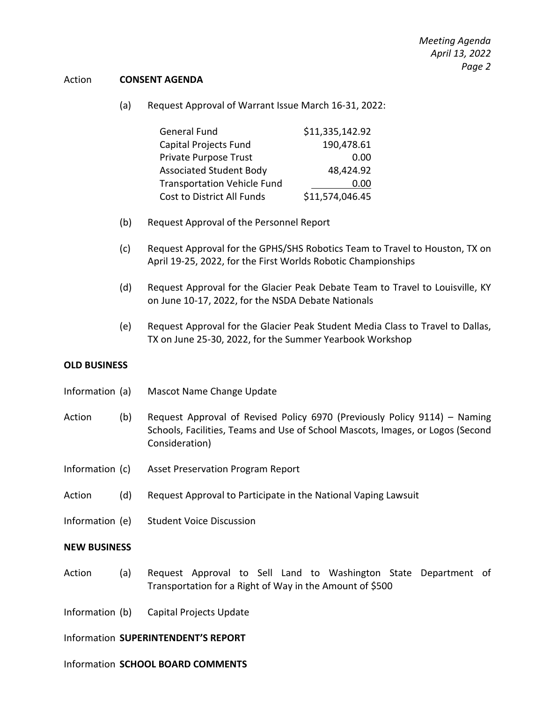#### Action **CONSENT AGENDA**

(a) Request Approval of Warrant Issue March 16-31, 2022:

| General Fund                       | \$11,335,142.92 |
|------------------------------------|-----------------|
| Capital Projects Fund              | 190,478.61      |
| Private Purpose Trust              | 0.00            |
| <b>Associated Student Body</b>     | 48,424.92       |
| <b>Transportation Vehicle Fund</b> | 0.00            |
| Cost to District All Funds         | \$11,574,046.45 |

- (b) Request Approval of the Personnel Report
- (c) Request Approval for the GPHS/SHS Robotics Team to Travel to Houston, TX on April 19-25, 2022, for the First Worlds Robotic Championships
- (d) Request Approval for the Glacier Peak Debate Team to Travel to Louisville, KY on June 10-17, 2022, for the NSDA Debate Nationals
- (e) Request Approval for the Glacier Peak Student Media Class to Travel to Dallas, TX on June 25-30, 2022, for the Summer Yearbook Workshop

#### **OLD BUSINESS**

- Information (a) Mascot Name Change Update
- Action (b) Request Approval of Revised Policy 6970 (Previously Policy 9114) Naming Schools, Facilities, Teams and Use of School Mascots, Images, or Logos (Second Consideration)
- Information (c) Asset Preservation Program Report
- Action (d) Request Approval to Participate in the National Vaping Lawsuit
- Information (e) Student Voice Discussion

#### **NEW BUSINESS**

- Action (a) Request Approval to Sell Land to Washington State Department of Transportation for a Right of Way in the Amount of \$500
- Information (b) Capital Projects Update

Information **SUPERINTENDENT'S REPORT**

#### Information **SCHOOL BOARD COMMENTS**